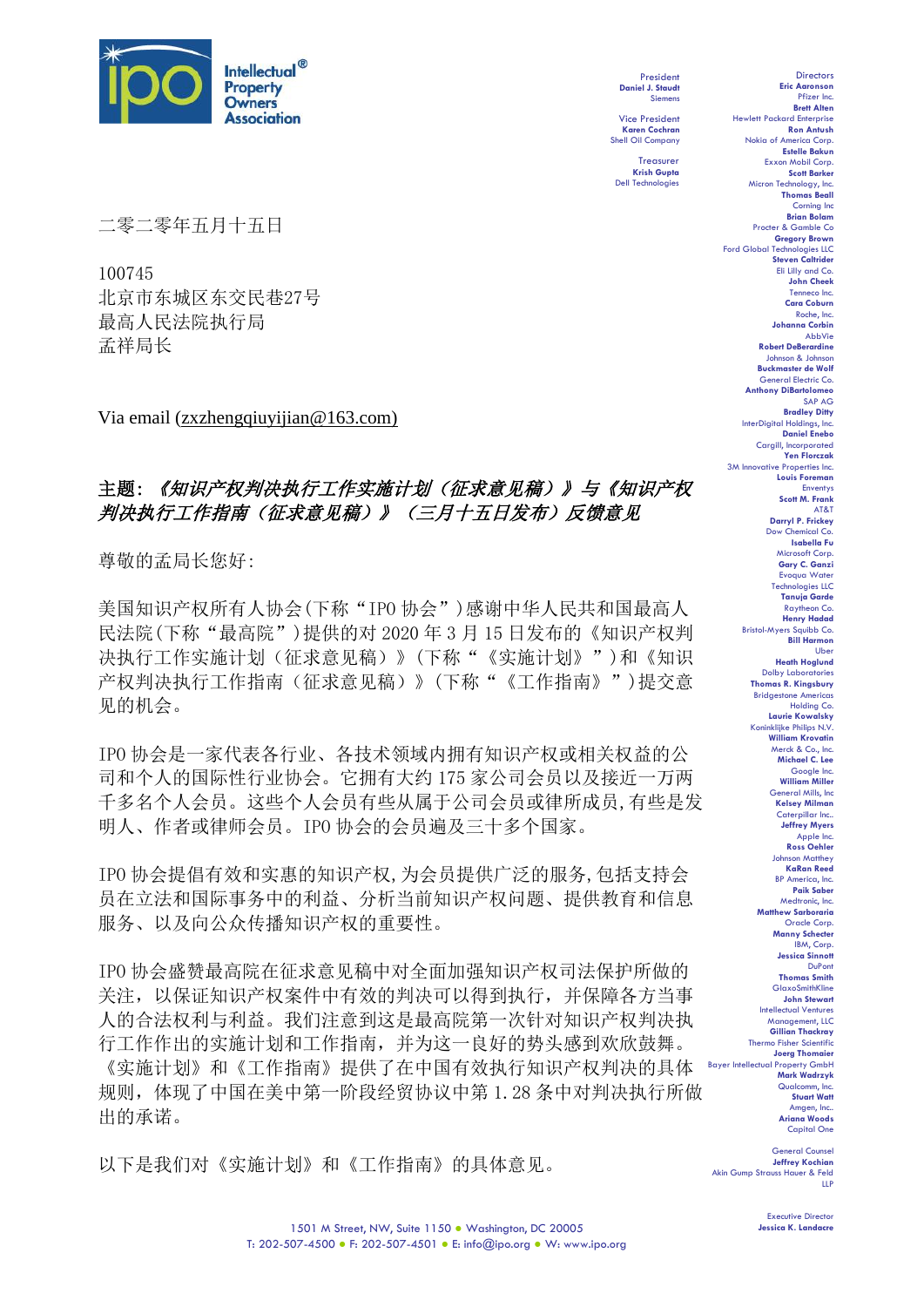

President **Daniel J. Staudt** Siemens

Vice President **Karen Cochran** Shell Oil Company

Treasurer **Krish Gupta** Dell Technologies

二零二零年五月十五日

100745 北京市东城区东交民巷27号 最高人民法院执行局 孟祥局长

Via email (zxzhengqiuyijian@163.com)

# 主题: 《知识产权判决执行工作实施计划(征求意见稿)》与《知识产权 判决执行工作指南(征求意见稿)》(三月十五日发布)反馈意见

尊敬的孟局长您好:

美国知识产权所有人协会(下称"IPO 协会")感谢中华人民共和国最高人 民法院(下称"最高院")提供的对 2020 年 3 月 15 日发布的《知识产权判 决执行工作实施计划(征求意见稿)》(下称"《实施计划》")和《知识 产权判决执行工作指南(征求意见稿)》(下称"《工作指南》")提交意 见的机会。

IPO 协会是一家代表各行业、各技术领域内拥有知识产权或相关权益的公 司和个人的国际性行业协会。它拥有大约 175 家公司会员以及接近一万两 千多名个人会员。这些个人会员有些从属于公司会员或律所成员,有些是发 明人、作者或律师会员。IPO 协会的会员遍及三十多个国家。

IPO 协会提倡有效和实惠的知识产权,为会员提供广泛的服务,包括支持会 员在立法和国际事务中的利益、分析当前知识产权问题、提供教育和信息 服务、以及向公众传播知识产权的重要性。

IPO 协会盛赞最高院在征求意见稿中对全面加强知识产权司法保护所做的 关注,以保证知识产权案件中有效的判决可以得到执行,并保障各方当事 人的合法权利与利益。我们注意到这是最高院第一次针对知识产权判决执 行工作作出的实施计划和工作指南,并为这一良好的势头感到欢欣鼓舞。 《实施计划》和《工作指南》提供了在中国有效执行知识产权判决的具体 Bayer Intellectual Property GmbH 规则,体现了中国在美中第一阶段经贸协议中第 1.28 条中对判决执行所做 出的承诺。

以下是我们对《实施计划》和《工作指南》的具体意见。

Directors **Eric Aaronson**  Pfizer Inc. **Brett Alten** Hewlett Packard Enterprise **Ron Antush** Nokia of America Corp. **Estelle Bakun** Exxon Mobil Corp. **Scott Barker** Micron Technology, Inc. **Thomas Beall** Corning Inc. **Brian Bolam** Procter & Gamble Co **Gregory Brown** Ford Global Technologies LLC **Steven Caltrider** Eli Lilly and Co. **John Cheek** Tenneco Inc. **Cara Coburn** Roche, Inc. **Johanna Corbin** AbbVie **Robert DeBerardine** Johnson & Johnson **Buckmaster de Wolf** General Electric Co. **Anthony DiBartolomeo** SAP AG **Bradley Ditty** InterDigital Holdings, Inc. **Daniel Enebo** Cargill, Incorporated **Yen Florczak** 3M Innovative Properties Inc. **Louis Foreman** Enventys **Scott M. Frank** AT&T **Darryl P. Frickey** Dow Chemical Co. **Isabella Fu**  Microsoft Corp. **Gary C. Ganzi** Evoqua Wate Technologies LLC **Tanuja Garde** Raytheon Co. **Henry Hadad** Bristol-Myers Squibb Co. **Bill Harmon** Uber **Heath Hoglund** Dolby Laboratories **Thomas R. Kingsbury** Bridgestone Americas Holding Co. **Laurie Kowalsky** Koninklijke Philips N.V. **William Krovatin**<br>Merck & Co., Inc. Merck & Co. **Michael C. Lee** Google Inc. **William Miller** General Mills, Inc **Kelsey Milman** Caterpillar Inc.. **Jeffrey Myers** Apple Inc. **Ross Oehler** Johnson Matthey **KaRan Reed** BP America, Inc. **Paik Saber** Medtronic, Inc. **Matthew Sarboraria** Oracle Corp. **Manny Schecter** I**y** Serves ... **Jessica Sinnott** DuPont **Thomas Smith GlaxoSmithKline John Stewart** Intellectual Ventures Management, LLC **Gillian Thackray** Thermo Fisher Scientific **Joerg Thomaier Mark Wadrzyk** Qualcomm, Inc. **Stuart Watt** Amgen, Inc.. **Ariana Woods** Capital One

General Counsel **Jeffrey Kochian** Akin Gump Strauss Hauer & Feld LLP

> Executive Director **Jessica K. Landacre**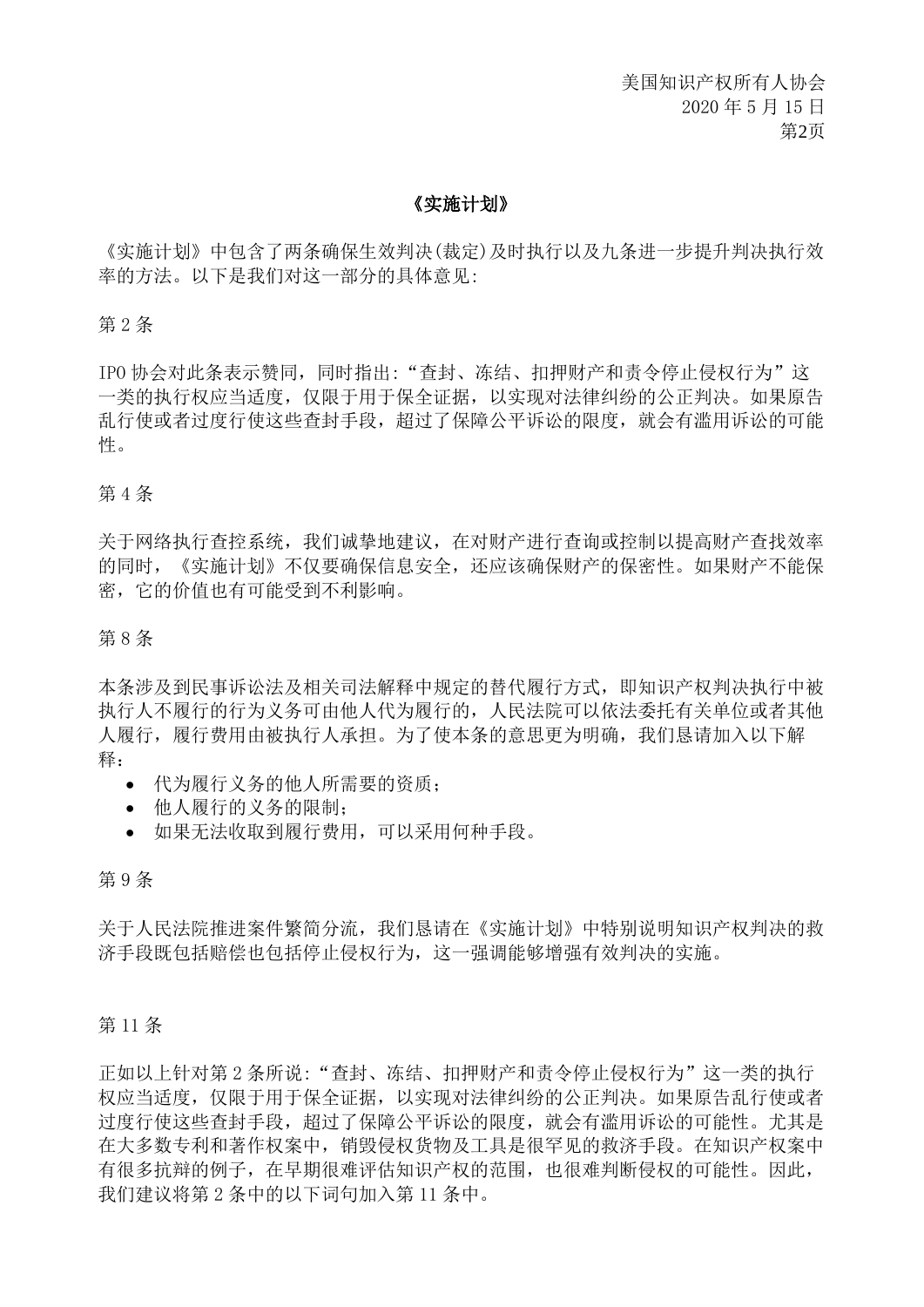美国知识产权所有人协会 2020 年 5 月 15 日 第2页

# 《实施计划》

《实施计划》中包含了两条确保生效判决(裁定)及时执行以及九条进一步提升判决执行效 率的方法。以下是我们对这一部分的具体意见:

#### 第 2 条

IPO 协会对此条表示赞同,同时指出:"查封、冻结、扣押财产和责令停止侵权行为"这 一类的执行权应当适度,仅限于用于保全证据,以实现对法律纠纷的公正判决。如果原告 乱行使或者过度行使这些查封手段,超过了保障公平诉讼的限度,就会有滥用诉讼的可能 性。

#### 第 4 条

关于网络执行查控系统,我们诚挚地建议,在对财产进行查询或控制以提高财产查找效率 的同时,《实施计划》不仅要确保信息安全,还应该确保财产的保密性。如果财产不能保 密,它的价值也有可能受到不利影响。

#### 第 8 条

本条涉及到民事诉讼法及相关司法解释中规定的替代履行方式,即知识产权判决执行中被 执行人不履行的行为义务可由他人代为履行的,人民法院可以依法委托有关单位或者其他 人履行,履行费用由被执行人承担。为了使本条的意思更为明确,我们恳请加入以下解 释:

- 代为履行义务的他人所需要的资质;
- 他人履行的义务的限制;
- 如果无法收取到履行费用,可以采用何种手段。

## 第 9 条

关于人民法院推进案件繁简分流,我们恳请在《实施计划》中特别说明知识产权判决的救 济手段既包括赔偿也包括停止侵权行为,这一强调能够增强有效判决的实施。

#### 第 11 条

正如以上针对第 2 条所说: "查封、冻结、扣押财产和责令停止侵权行为"这一类的执行 权应当适度,仅限于用于保全证据,以实现对法律纠纷的公正判决。如果原告乱行使或者 过度行使这些查封手段,超过了保障公平诉讼的限度,就会有滥用诉讼的可能性。尤其是 在大多数专利和著作权案中,销毁侵权货物及工具是很罕见的救济手段。在知识产权案中 有很多抗辩的例子,在早期很难评估知识产权的范围,也很难判断侵权的可能性。因此, 我们建议将第 2 条中的以下词句加入第 11 条中。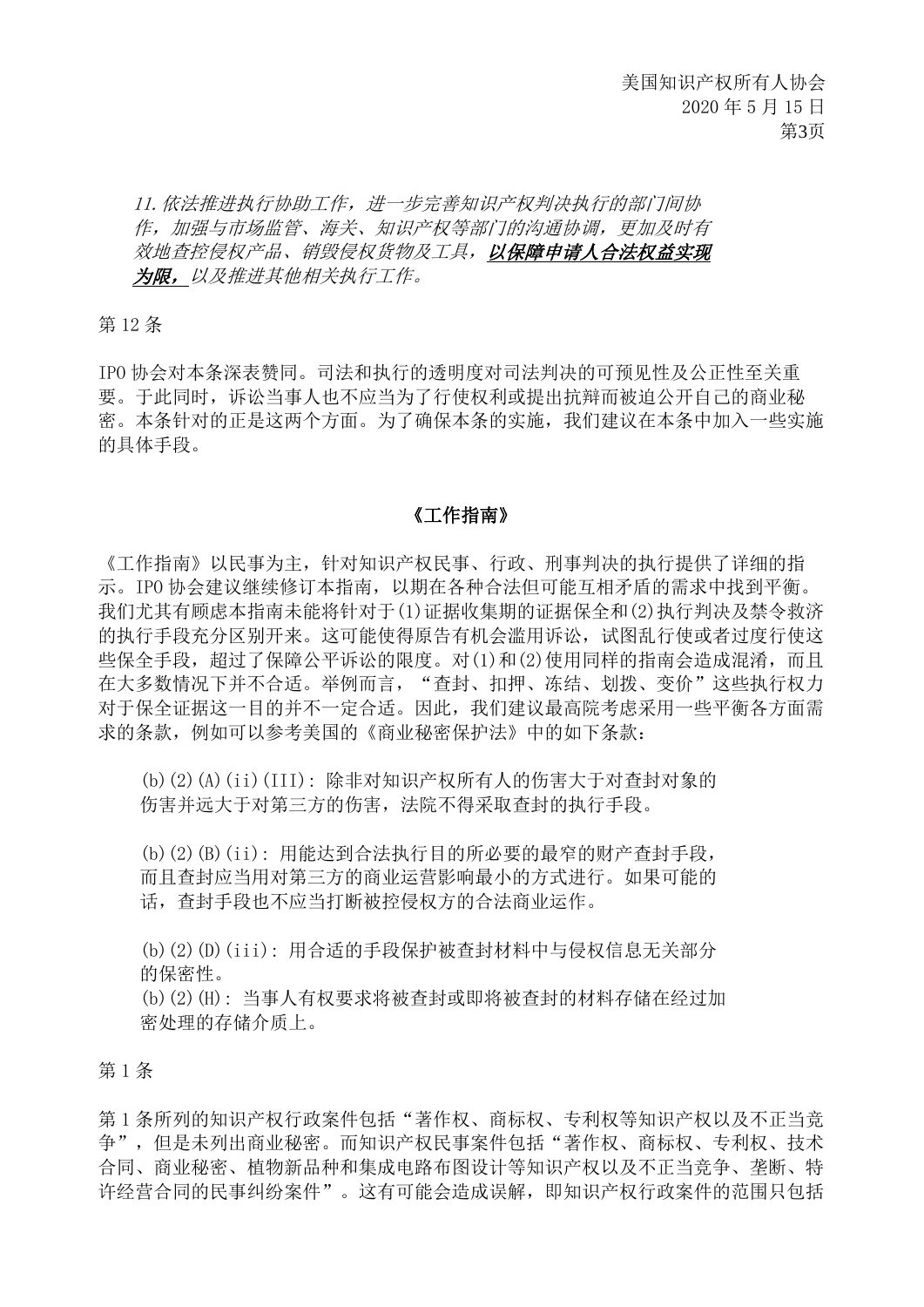11.依法推进执行协助工作,进一步完善知识产权判决执行的部门间协 作,加强与市场监管、海关、知识产权等部门的沟通协调,更加及时有 效地查控侵权产品、销毁侵权货物及工具,以保障申请人合法权益实现 为限,以及推进其他相关执行工作。

第 12 条

IPO 协会对本条深表赞同。司法和执行的透明度对司法判决的可预见性及公正性至关重 要。于此同时,诉讼当事人也不应当为了行使权利或提出抗辩而被迫公开自己的商业秘 密。本条针对的正是这两个方面。为了确保本条的实施,我们建议在本条中加入一些实施 的具体手段。

## 《工作指南》

《工作指南》以民事为主,针对知识产权民事、行政、刑事判决的执行提供了详细的指 示。IPO 协会建议继续修订本指南,以期在各种合法但可能互相矛盾的需求中找到平衡。 我们尤其有顾虑本指南未能将针对于(1)证据收集期的证据保全和(2)执行判决及禁令救济 的执行手段充分区别开来。这可能使得原告有机会滥用诉讼,试图乱行使或者过度行使这 些保全手段,超过了保障公平诉讼的限度。对(1)和(2)使用同样的指南会造成混淆,而且 在大多数情况下并不合适。举例而言,"查封、扣押、冻结、划拨、变价"这些执行权力 对于保全证据这一目的并不一定合适。因此,我们建议最高院考虑采用一些平衡各方面需 求的条款,例如可以参考美国的《商业秘密保护法》中的如下条款:

(b)(2)(A)(ii)(III): 除非对知识产权所有人的伤害大于对查封对象的 伤害并远大于对第三方的伤害,法院不得采取查封的执行手段。

(b)(2)(B)(ii): 用能达到合法执行目的所必要的最窄的财产查封手段, 而且查封应当用对第三方的商业运营影响最小的方式进行。如果可能的 话,查封手段也不应当打断被控侵权方的合法商业运作。

(b)(2)(D)(iii): 用合适的手段保护被查封材料中与侵权信息无关部分 的保密性。

(b)(2)(H): 当事人有权要求将被查封或即将被查封的材料存储在经过加 密处理的存储介质上。

第 1 条

第1条所列的知识产权行政案件包括"著作权、商标权、专利权等知识产权以及不正当竞 争",但是未列出商业秘密。而知识产权民事案件包括"著作权、商标权、专利权、技术 合同、商业秘密、植物新品种和集成电路布图设计等知识产权以及不正当竞争、垄断、特 许经营合同的民事纠纷案件"。这有可能会造成误解,即知识产权行政案件的范围只包括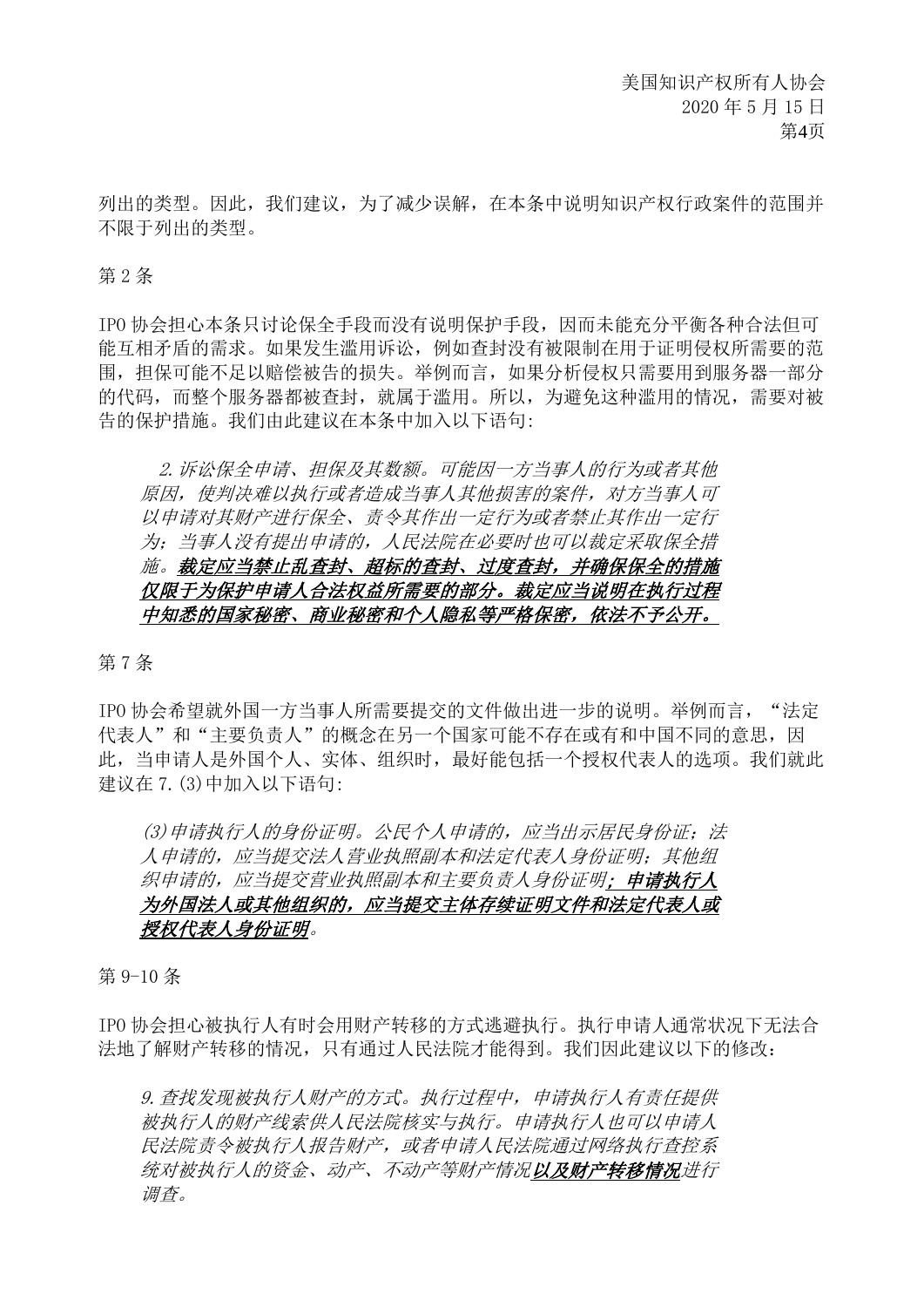列出的类型。因此,我们建议,为了减少误解,在本条中说明知识产权行政案件的范围并 不限于列出的类型。

#### 第 2 条

IPO 协会担心本条只讨论保全手段而没有说明保护手段,因而未能充分平衡各种合法但可 能互相矛盾的需求。如果发生滥用诉讼,例如查封没有被限制在用于证明侵权所需要的范 围, 担保可能不足以赔偿被告的损失。举例而言, 如果分析侵权只需要用到服务器一部分 的代码,而整个服务器都被查封,就属于滥用。所以,为避免这种滥用的情况,需要对被 告的保护措施。我们由此建议在本条中加入以下语句:

2.诉讼保全申请、担保及其数额。可能因一方当事人的行为或者其他 原因,使判决难以执行或者造成当事人其他损害的案件,对方当事人可 以申请对其财产进行保全、责令其作出一定行为或者禁止其作出一定行 为;当事人没有提出申请的,人民法院在必要时也可以裁定采取保全措 施。裁定应当禁止乱查封、超标的查封、过度查封,并确保保全的措施 仅限于为保护申请人合法权益所需要的部分。裁定应当说明在执行过程 中知悉的国家秘密、商业秘密和个人隐私等严格保密,依法不予公开。

第 7 条

IPO 协会希望就外国一方当事人所需要提交的文件做出进一步的说明。举例而言, "法定 代表人"和"主要负责人"的概念在另一个国家可能不存在或有和中国不同的意思,因 此,当申请人是外国个人、实体、组织时,最好能包括一个授权代表人的选项。我们就此 建议在 7.(3)中加入以下语句:

(3)申请执行人的身份证明。公民个人申请的,应当出示居民身份证;法 人申请的,应当提交法人营业执照副本和法定代表人身份证明;其他组 织申请的,应当提交营业执照副本和主要负责人身份证明;申请执行人 为外国法人或其他组织的,应当提交主体存续证明文件和法定代表人或 授权代表人身份证明。

第 9-10 条

IPO 协会担心被执行人有时会用财产转移的方式逃避执行。执行申请人通常状况下无法合 法地了解财产转移的情况,只有通过人民法院才能得到。我们因此建议以下的修改:

9.查找发现被执行人财产的方式。执行过程中,申请执行人有责任提供 被执行人的财产线索供人民法院核实与执行。申请执行人也可以申请人 民法院责令被执行人报告财产,或者申请人民法院通过网络执行查控系 统对被执行人的资金、动产、不动产等财产情况以及财产转移情况进行 调查。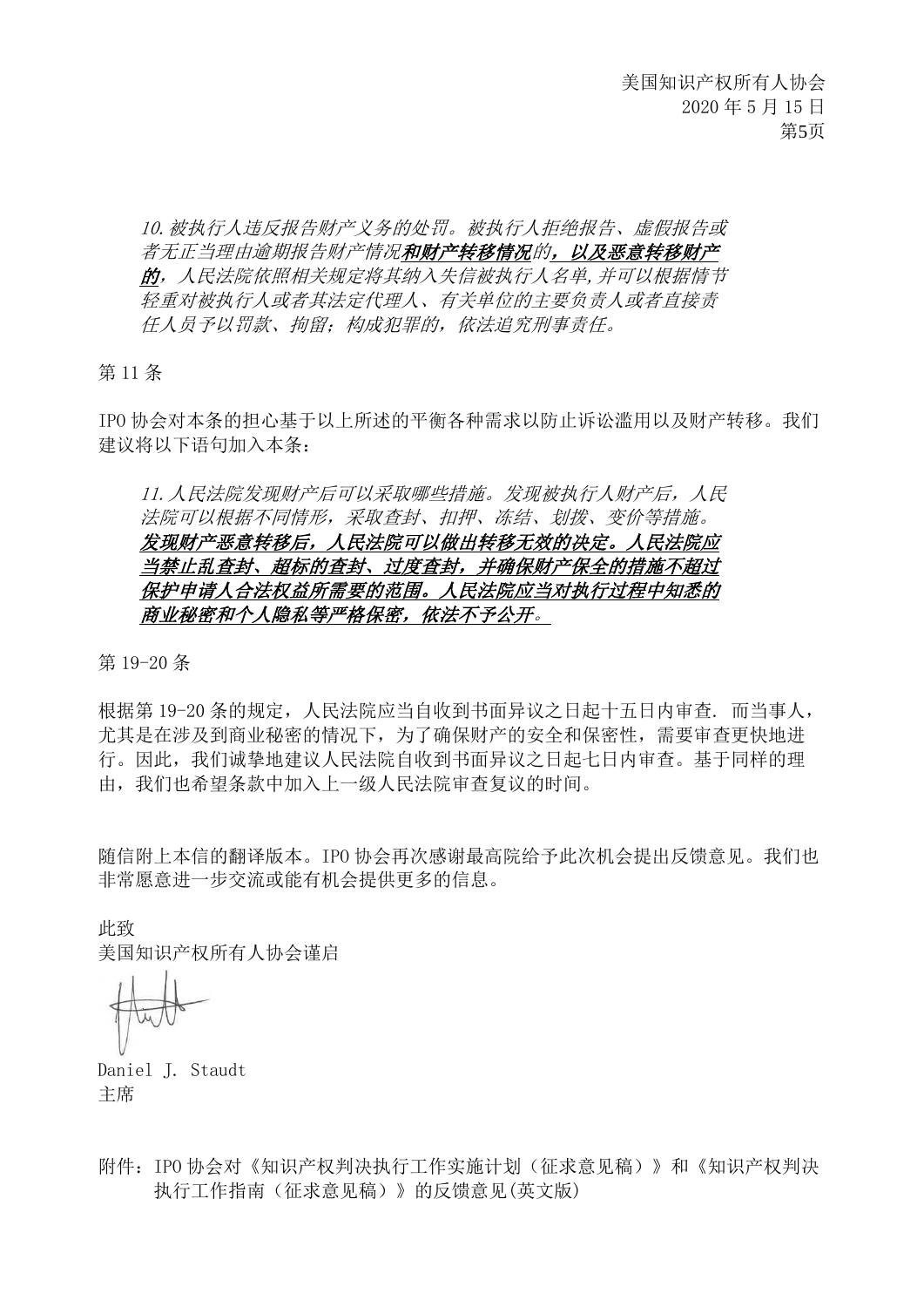10.被执行人违反报告财产义务的处罚。被执行人拒绝报告、虚假报告或 者无正当理由逾期报告财产情况和财产转移情况的,以及恶意转移财产 的,人民法院依照相关规定将其纳入失信被执行人名单,并可以根据情节 轻重对被执行人或者其法定代理人、有关单位的主要负责人或者直接责 任人员予以罚款、拘留;构成犯罪的,依法追究刑事责任。

第 11 条

IPO 协会对本条的担心基于以上所述的平衡各种需求以防止诉讼滥用以及财产转移。我们 建议将以下语句加入本条:

11.人民法院发现财产后可以采取哪些措施。发现被执行人财产后,人民 法院可以根据不同情形,采取查封、扣押、冻结、划拨、变价等措施。 发现财产恶意转移后,人民法院可以做出转移无效的决定。人民法院应 当禁止乱查封、超标的查封、过度查封,并确保财产保全的措施不超过 保护申请人合法权益所需要的范围。人民法院应当对执行过程中知悉的 商业秘密和个人隐私等严格保密,依法不予公开。

第 19-20 条

根据第 19-20 条的规定,人民法院应当自收到书面异议之日起十五日内审查. 而当事人, 尤其是在涉及到商业秘密的情况下,为了确保财产的安全和保密性,需要审查更快地进 行。因此,我们诚挚地建议人民法院自收到书面异议之日起七日内审查。基于同样的理 由,我们也希望条款中加入上一级人民法院审查复议的时间。

随信附上本信的翻译版本。IPO 协会再次感谢最高院给予此次机会提出反馈意见。我们也 非常愿意进一步交流或能有机会提供更多的信息。

此致

美国知识产权所有人协会谨启

Daniel J. Staudt 主席

附件:IPO 协会对《知识产权判决执行工作实施计划(征求意见稿)》和《知识产权判决 执行工作指南(征求意见稿)》的反馈意见(英文版)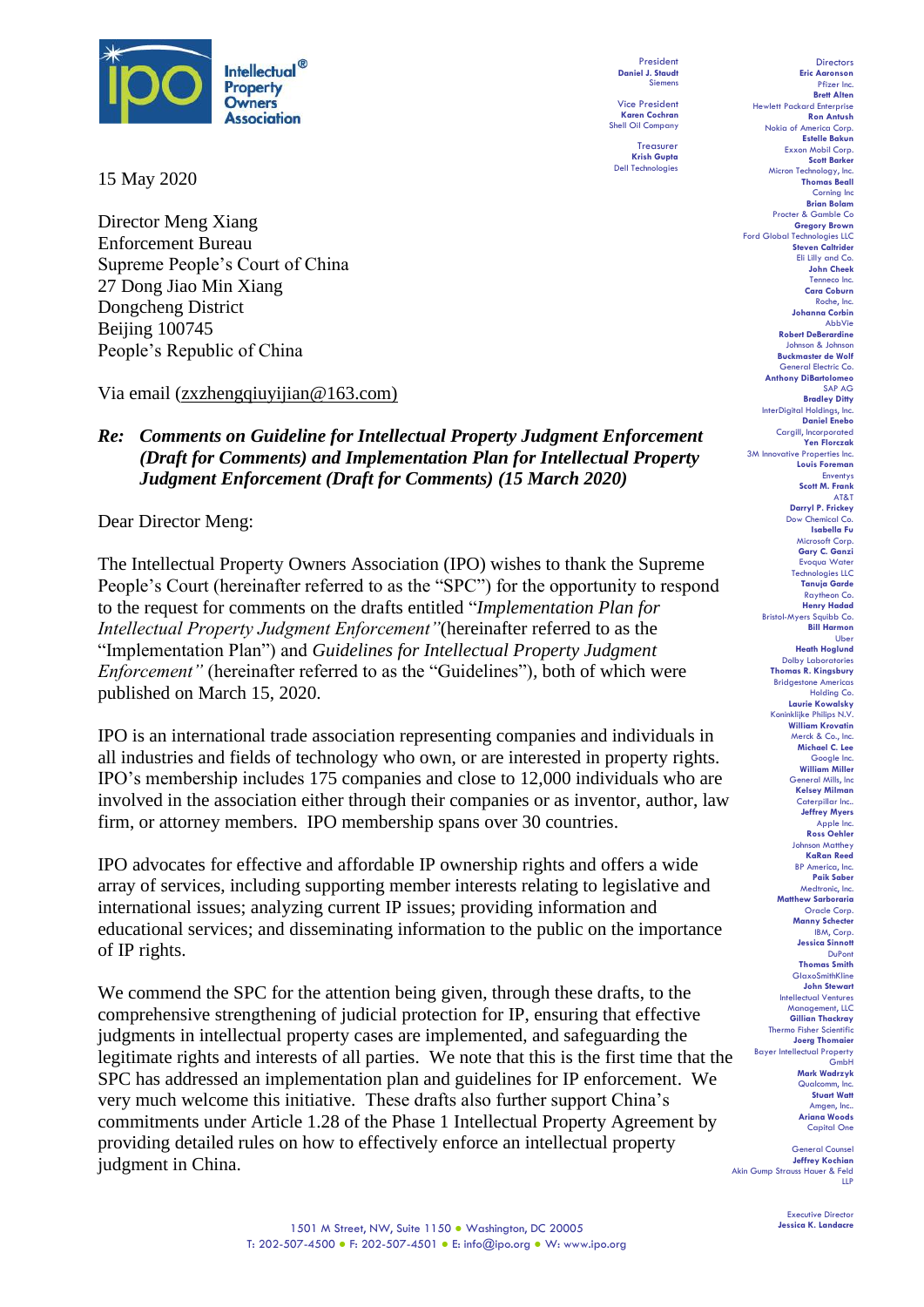

15 May 2020

Director Meng Xiang Enforcement Bureau Supreme People's Court of China 27 Dong Jiao Min Xiang Dongcheng District Beijing 100745 People's Republic of China

Via email (zxzhengqiuyijian@163.com)

# *Re: Comments on Guideline for Intellectual Property Judgment Enforcement (Draft for Comments) and Implementation Plan for Intellectual Property Judgment Enforcement (Draft for Comments) (15 March 2020)*

Dear Director Meng:

The Intellectual Property Owners Association (IPO) wishes to thank the Supreme People's Court (hereinafter referred to as the "SPC") for the opportunity to respond to the request for comments on the drafts entitled "*Implementation Plan for Intellectual Property Judgment Enforcement"*(hereinafter referred to as the "Implementation Plan") and *Guidelines for Intellectual Property Judgment Enforcement"* (hereinafter referred to as the "Guidelines")*,* both of which were published on March 15, 2020.

IPO is an international trade association representing companies and individuals in all industries and fields of technology who own, or are interested in property rights. IPO's membership includes 175 companies and close to 12,000 individuals who are involved in the association either through their companies or as inventor, author, law firm, or attorney members. IPO membership spans over 30 countries.

IPO advocates for effective and affordable IP ownership rights and offers a wide array of services, including supporting member interests relating to legislative and international issues; analyzing current IP issues; providing information and educational services; and disseminating information to the public on the importance of IP rights.

We commend the SPC for the attention being given, through these drafts, to the comprehensive strengthening of judicial protection for IP, ensuring that effective judgments in intellectual property cases are implemented, and safeguarding the legitimate rights and interests of all parties. We note that this is the first time that the SPC has addressed an implementation plan and guidelines for IP enforcement. We very much welcome this initiative. These drafts also further support China's commitments under Article 1.28 of the Phase 1 Intellectual Property Agreement by providing detailed rules on how to effectively enforce an intellectual property judgment in China.

President **Daniel J. Staudt** Siemens

Vice President **Karen Cochran** Shell Oil Company

Treasurer **Krish Gupta** Dell Technologies

Directors **Eric Aaronson**  Pfizer Inc. **Brett Alten** Hewlett Packard Enterprise **Ron Antush** Nokia of America Corp. **Estelle Bakun** Exxon Mobil Corp. **Scott Barker** Micron Technology, Inc. **Thomas Beall** Corning Inc **Brian Bolam** Procter & Gamble Co **Gregory Brown** Ford Global Technologies LLC **Steven Caltrider** Eli Lilly and Co. **John Cheek** Tenneco Inc. **Cara Coburn** Roche, Inc. **Johanna Corbin** AbbVie **Robert DeBerardine** Johnson & Johnson **Buckmaster de Wolf** General Electric Co. **Anthony DiBartolomeo** SAP AG **Bradley Ditty** InterDigital Holdings, Inc. **Daniel Enebo** Cargill, Incorporated **Yen Florczak** 3M Innovative Properties Inc. **Louis Foreman Enventys Scott M. Frank** AT&T **Darryl P. Frickey** Dow Chemical Co. **Isabella Fu**  Microsoft Corp. **Gary C. Ganzi** Evoqua Water Technologies LLC **Tanuja Garde** Raytheon Co. **Henry Hadad** Bristol-Myers Squibb Co. **Bill Harmon** Uber **Heath Hoglund** Dolby Laboratories **Thomas R. Kingsbury** Bridgestone Americas Holding Co. **Laurie Kowalsky** Koninklijke Philips N.V. **William Krovatin** Merck & Co., Inc. **Michael C. Lee** Google **William Miller** General Mills, Inc **Kelsey Milman** Caterpillar Inc.. **Jeffrey Myers** Apple **Ross Oehler**<br>Johnson Matthey on Matthey **KaRan Reed** BP America, Inc. **Paik Saber**<br>edtronic, Inc. Medtron **Matthew Sarboraria** Oracle Corp. **Manny Schecter** IBM, Corp. **Jessica Sinnott** DuPon **Thomas Smith GlaxoSmithKline John Stewart** Intellectual Ventures Management, LLC **Gillian Thackray** Thermo Fisher Scientific **Joerg Thomaier** Bayer Intellectual Property .<br>Gmbl **Mark Wadrzyk** Qualcomm, Inc. **Stuart Watt** Amgen, In **Ariana Woods** Capital One General Counsel

**Jeffrey Kochian** Akin Gump Strauss Hauer & Feld LLP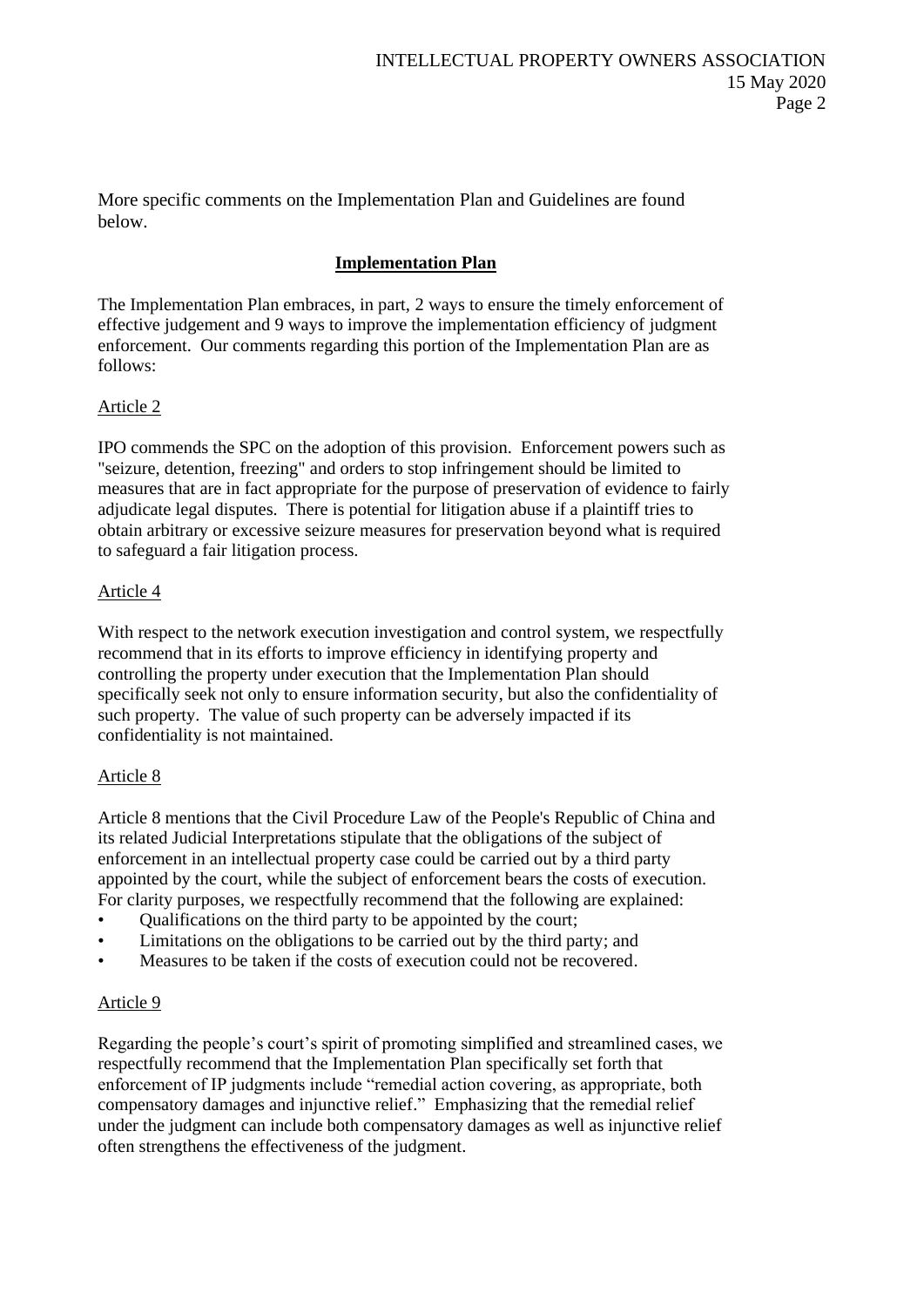More specific comments on the Implementation Plan and Guidelines are found below.

# **Implementation Plan**

The Implementation Plan embraces, in part, 2 ways to ensure the timely enforcement of effective judgement and 9 ways to improve the implementation efficiency of judgment enforcement. Our comments regarding this portion of the Implementation Plan are as follows:

# Article 2

IPO commends the SPC on the adoption of this provision. Enforcement powers such as "seizure, detention, freezing" and orders to stop infringement should be limited to measures that are in fact appropriate for the purpose of preservation of evidence to fairly adjudicate legal disputes. There is potential for litigation abuse if a plaintiff tries to obtain arbitrary or excessive seizure measures for preservation beyond what is required to safeguard a fair litigation process.

## Article 4

With respect to the network execution investigation and control system, we respectfully recommend that in its efforts to improve efficiency in identifying property and controlling the property under execution that the Implementation Plan should specifically seek not only to ensure information security, but also the confidentiality of such property. The value of such property can be adversely impacted if its confidentiality is not maintained.

## Article 8

Article 8 mentions that the Civil Procedure Law of the People's Republic of China and its related Judicial Interpretations stipulate that the obligations of the subject of enforcement in an intellectual property case could be carried out by a third party appointed by the court, while the subject of enforcement bears the costs of execution. For clarity purposes, we respectfully recommend that the following are explained:

- Qualifications on the third party to be appointed by the court;
- Limitations on the obligations to be carried out by the third party; and
- Measures to be taken if the costs of execution could not be recovered.

## Article 9

Regarding the people's court's spirit of promoting simplified and streamlined cases, we respectfully recommend that the Implementation Plan specifically set forth that enforcement of IP judgments include "remedial action covering, as appropriate, both compensatory damages and injunctive relief." Emphasizing that the remedial relief under the judgment can include both compensatory damages as well as injunctive relief often strengthens the effectiveness of the judgment.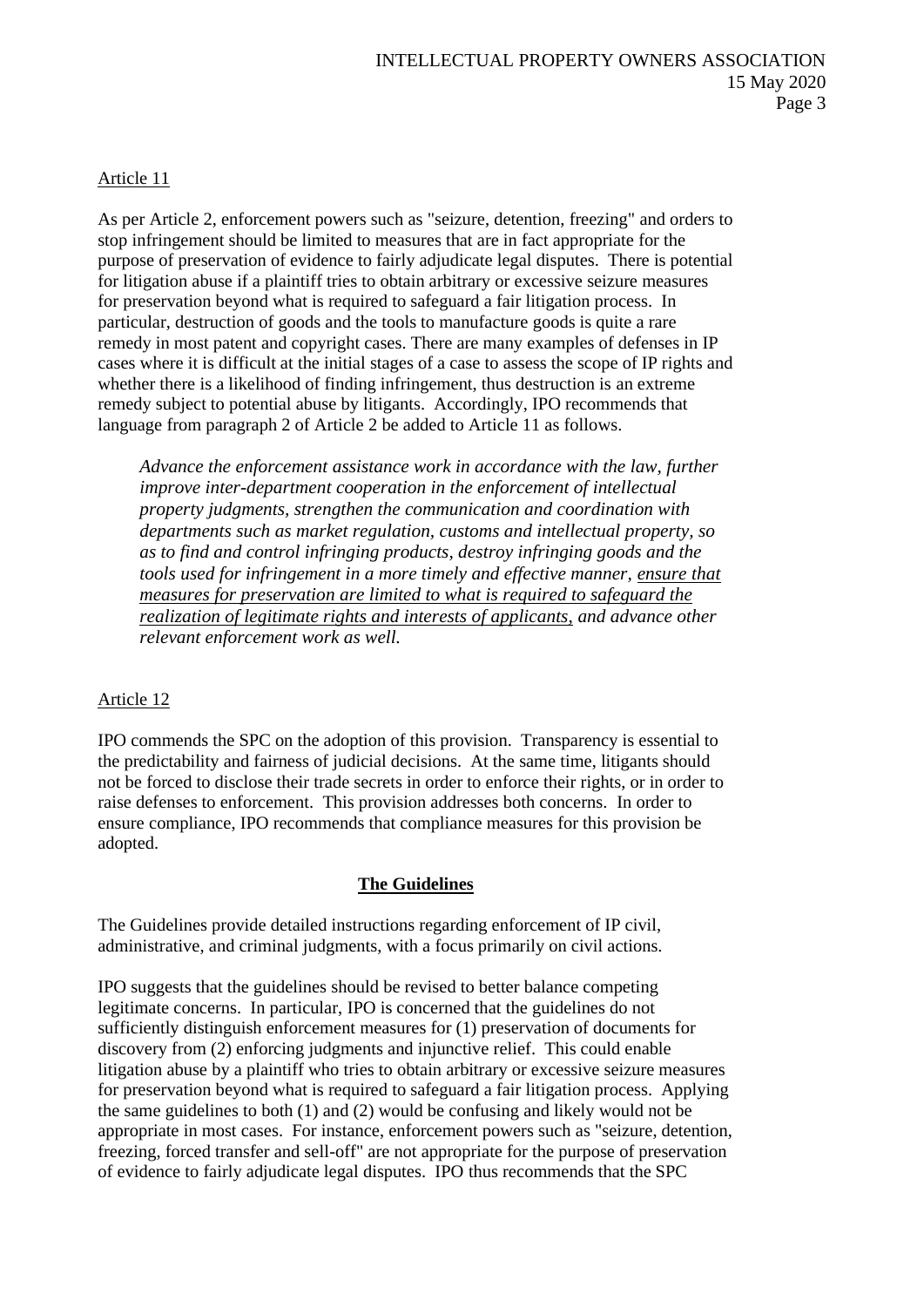## Article 11

As per Article 2, enforcement powers such as "seizure, detention, freezing" and orders to stop infringement should be limited to measures that are in fact appropriate for the purpose of preservation of evidence to fairly adjudicate legal disputes. There is potential for litigation abuse if a plaintiff tries to obtain arbitrary or excessive seizure measures for preservation beyond what is required to safeguard a fair litigation process. In particular, destruction of goods and the tools to manufacture goods is quite a rare remedy in most patent and copyright cases. There are many examples of defenses in IP cases where it is difficult at the initial stages of a case to assess the scope of IP rights and whether there is a likelihood of finding infringement, thus destruction is an extreme remedy subject to potential abuse by litigants. Accordingly, IPO recommends that language from paragraph 2 of Article 2 be added to Article 11 as follows.

*Advance the enforcement assistance work in accordance with the law, further improve inter-department cooperation in the enforcement of intellectual property judgments, strengthen the communication and coordination with departments such as market regulation, customs and intellectual property, so as to find and control infringing products, destroy infringing goods and the tools used for infringement in a more timely and effective manner, ensure that measures for preservation are limited to what is required to safeguard the realization of legitimate rights and interests of applicants, and advance other relevant enforcement work as well.*

#### Article 12

IPO commends the SPC on the adoption of this provision. Transparency is essential to the predictability and fairness of judicial decisions. At the same time, litigants should not be forced to disclose their trade secrets in order to enforce their rights, or in order to raise defenses to enforcement. This provision addresses both concerns. In order to ensure compliance, IPO recommends that compliance measures for this provision be adopted.

#### **The Guidelines**

The Guidelines provide detailed instructions regarding enforcement of IP civil, administrative, and criminal judgments, with a focus primarily on civil actions.

IPO suggests that the guidelines should be revised to better balance competing legitimate concerns. In particular, IPO is concerned that the guidelines do not sufficiently distinguish enforcement measures for (1) preservation of documents for discovery from (2) enforcing judgments and injunctive relief. This could enable litigation abuse by a plaintiff who tries to obtain arbitrary or excessive seizure measures for preservation beyond what is required to safeguard a fair litigation process. Applying the same guidelines to both (1) and (2) would be confusing and likely would not be appropriate in most cases. For instance, enforcement powers such as "seizure, detention, freezing, forced transfer and sell-off" are not appropriate for the purpose of preservation of evidence to fairly adjudicate legal disputes. IPO thus recommends that the SPC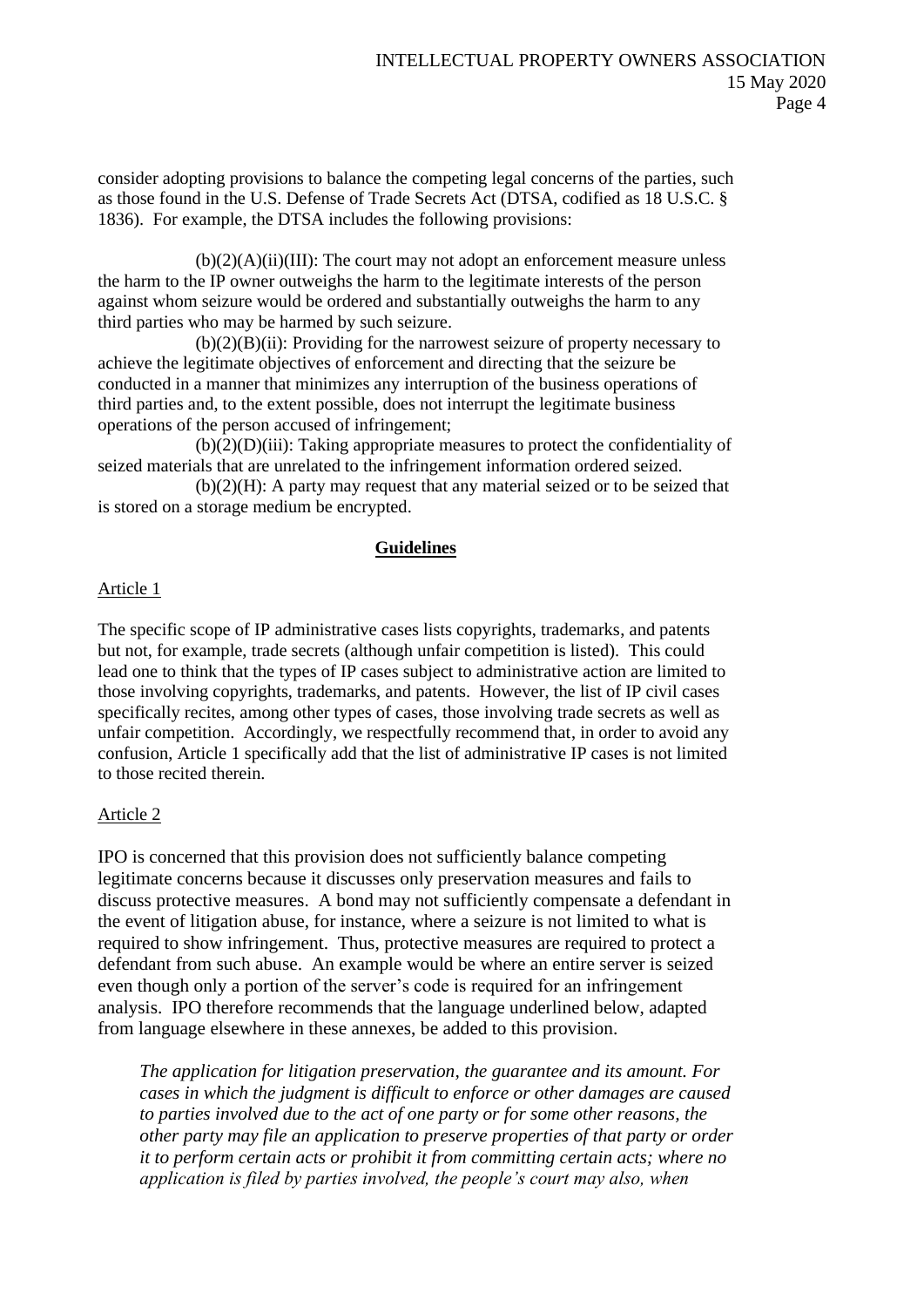consider adopting provisions to balance the competing legal concerns of the parties, such as those found in the U.S. Defense of Trade Secrets Act (DTSA, codified as 18 U.S.C. § 1836). For example, the DTSA includes the following provisions:

 $(b)(2)(A)(ii)(III)$ : The court may not adopt an enforcement measure unless the harm to the IP owner outweighs the harm to the legitimate interests of the person against whom seizure would be ordered and substantially outweighs the harm to any third parties who may be harmed by such seizure.

 $(b)(2)(B)(ii)$ : Providing for the narrowest seizure of property necessary to achieve the legitimate objectives of enforcement and directing that the seizure be conducted in a manner that minimizes any interruption of the business operations of third parties and, to the extent possible, does not interrupt the legitimate business operations of the person accused of infringement;

(b)(2)(D)(iii): Taking appropriate measures to protect the confidentiality of seized materials that are unrelated to the infringement information ordered seized.

 $(b)(2)(H)$ : A party may request that any material seized or to be seized that is stored on a storage medium be encrypted.

## **Guidelines**

## Article 1

The specific scope of IP administrative cases lists copyrights, trademarks, and patents but not, for example, trade secrets (although unfair competition is listed). This could lead one to think that the types of IP cases subject to administrative action are limited to those involving copyrights, trademarks, and patents. However, the list of IP civil cases specifically recites, among other types of cases, those involving trade secrets as well as unfair competition. Accordingly, we respectfully recommend that, in order to avoid any confusion, Article 1 specifically add that the list of administrative IP cases is not limited to those recited therein.

## Article 2

IPO is concerned that this provision does not sufficiently balance competing legitimate concerns because it discusses only preservation measures and fails to discuss protective measures. A bond may not sufficiently compensate a defendant in the event of litigation abuse, for instance, where a seizure is not limited to what is required to show infringement. Thus, protective measures are required to protect a defendant from such abuse. An example would be where an entire server is seized even though only a portion of the server's code is required for an infringement analysis. IPO therefore recommends that the language underlined below, adapted from language elsewhere in these annexes, be added to this provision.

*The application for litigation preservation, the guarantee and its amount. For cases in which the judgment is difficult to enforce or other damages are caused to parties involved due to the act of one party or for some other reasons, the other party may file an application to preserve properties of that party or order it to perform certain acts or prohibit it from committing certain acts; where no application is filed by parties involved, the people's court may also, when*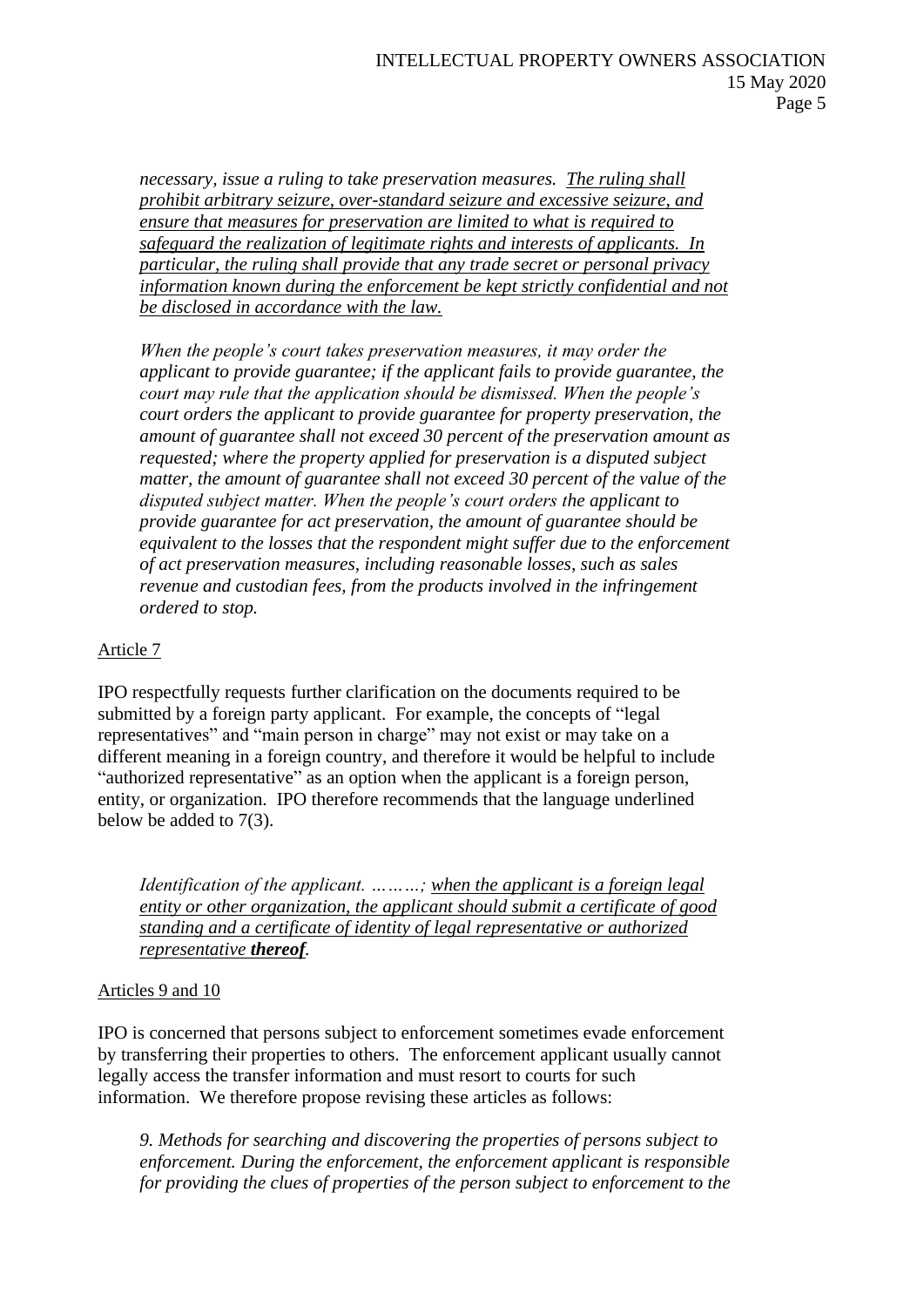*necessary, issue a ruling to take preservation measures. The ruling shall prohibit arbitrary seizure, over-standard seizure and excessive seizure, and ensure that measures for preservation are limited to what is required to safeguard the realization of legitimate rights and interests of applicants. In particular, the ruling shall provide that any trade secret or personal privacy information known during the enforcement be kept strictly confidential and not be disclosed in accordance with the law.*

*When the people's court takes preservation measures, it may order the applicant to provide guarantee; if the applicant fails to provide guarantee, the court may rule that the application should be dismissed. When the people's court orders the applicant to provide guarantee for property preservation, the amount of guarantee shall not exceed 30 percent of the preservation amount as requested; where the property applied for preservation is a disputed subject matter, the amount of guarantee shall not exceed 30 percent of the value of the disputed subject matter. When the people's court orders the applicant to provide guarantee for act preservation, the amount of guarantee should be equivalent to the losses that the respondent might suffer due to the enforcement of act preservation measures, including reasonable losses, such as sales revenue and custodian fees, from the products involved in the infringement ordered to stop.*

# Article 7

IPO respectfully requests further clarification on the documents required to be submitted by a foreign party applicant. For example, the concepts of "legal representatives" and "main person in charge" may not exist or may take on a different meaning in a foreign country, and therefore it would be helpful to include "authorized representative" as an option when the applicant is a foreign person, entity, or organization. IPO therefore recommends that the language underlined below be added to 7(3).

*Identification of the applicant. ………; when the applicant is a foreign legal entity or other organization, the applicant should submit a certificate of good standing and a certificate of identity of legal representative or authorized representative thereof.* 

# Articles 9 and 10

IPO is concerned that persons subject to enforcement sometimes evade enforcement by transferring their properties to others. The enforcement applicant usually cannot legally access the transfer information and must resort to courts for such information. We therefore propose revising these articles as follows:

*9. Methods for searching and discovering the properties of persons subject to enforcement. During the enforcement, the enforcement applicant is responsible for providing the clues of properties of the person subject to enforcement to the*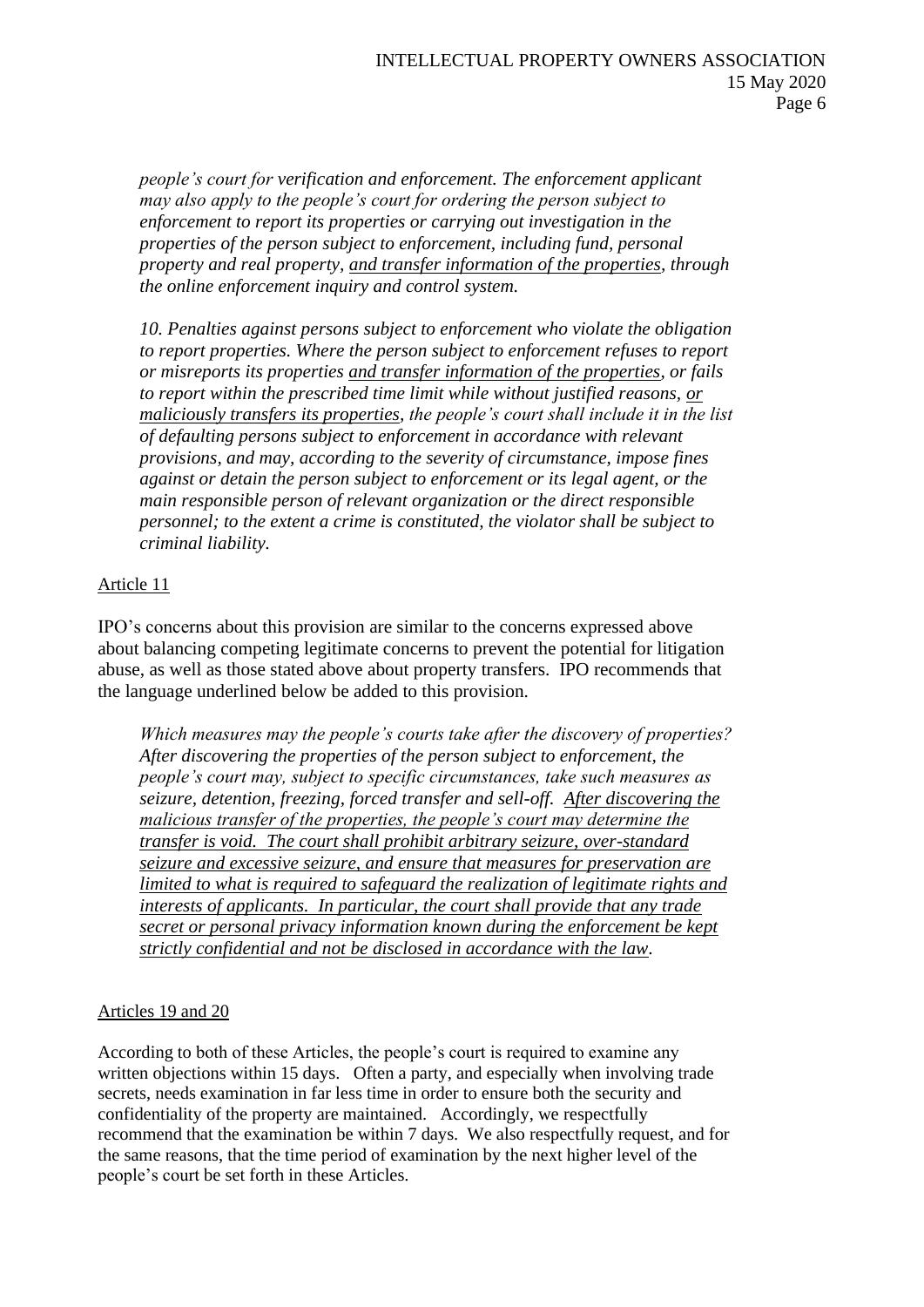*people's court for verification and enforcement. The enforcement applicant may also apply to the people's court for ordering the person subject to enforcement to report its properties or carrying out investigation in the properties of the person subject to enforcement, including fund, personal property and real property, and transfer information of the properties, through the online enforcement inquiry and control system.*

*10. Penalties against persons subject to enforcement who violate the obligation to report properties. Where the person subject to enforcement refuses to report or misreports its properties and transfer information of the properties, or fails to report within the prescribed time limit while without justified reasons, or maliciously transfers its properties, the people's court shall include it in the list of defaulting persons subject to enforcement in accordance with relevant provisions, and may, according to the severity of circumstance, impose fines against or detain the person subject to enforcement or its legal agent, or the main responsible person of relevant organization or the direct responsible personnel; to the extent a crime is constituted, the violator shall be subject to criminal liability.*

## Article 11

IPO's concerns about this provision are similar to the concerns expressed above about balancing competing legitimate concerns to prevent the potential for litigation abuse, as well as those stated above about property transfers. IPO recommends that the language underlined below be added to this provision.

*Which measures may the people's courts take after the discovery of properties? After discovering the properties of the person subject to enforcement, the people's court may, subject to specific circumstances, take such measures as seizure, detention, freezing, forced transfer and sell-off. After discovering the malicious transfer of the properties, the people's court may determine the transfer is void. The court shall prohibit arbitrary seizure, over-standard seizure and excessive seizure, and ensure that measures for preservation are limited to what is required to safeguard the realization of legitimate rights and interests of applicants. In particular, the court shall provide that any trade secret or personal privacy information known during the enforcement be kept strictly confidential and not be disclosed in accordance with the law.*

## Articles 19 and 20

According to both of these Articles, the people's court is required to examine any written objections within 15 days. Often a party, and especially when involving trade secrets, needs examination in far less time in order to ensure both the security and confidentiality of the property are maintained. Accordingly, we respectfully recommend that the examination be within 7 days. We also respectfully request, and for the same reasons, that the time period of examination by the next higher level of the people's court be set forth in these Articles.